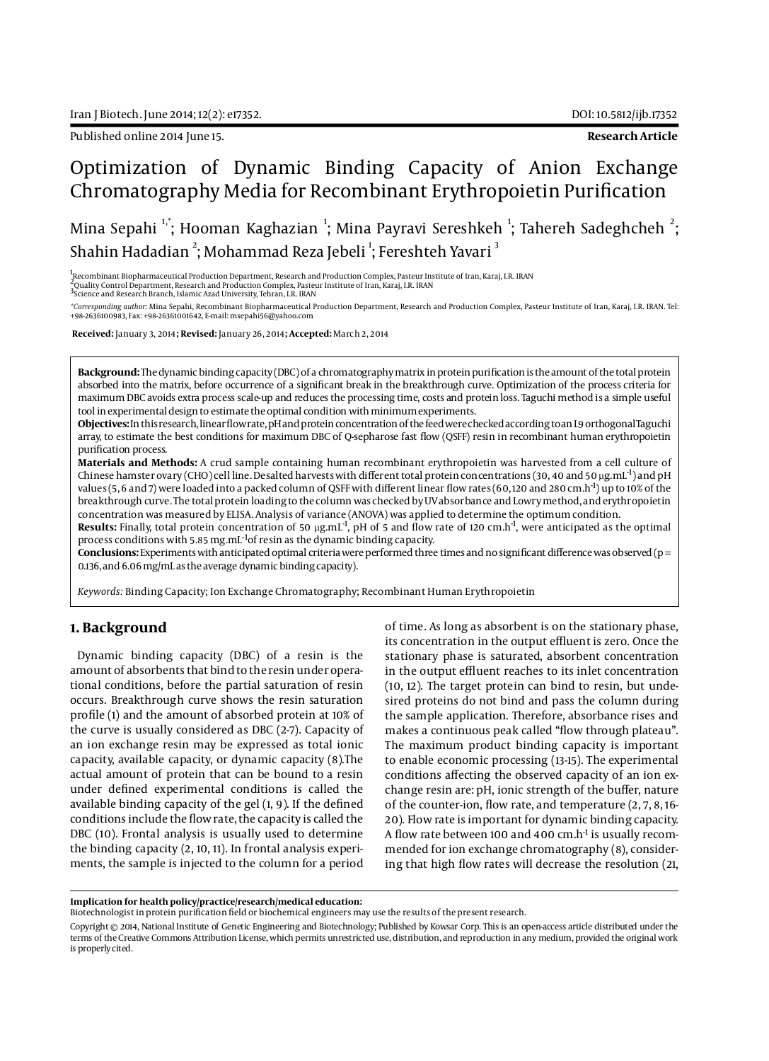Published online 2014 June 15. **Research Article**

# Optimization of Dynamic Binding Capacity of Anion Exchange Chromatography Media for Recombinant Erythropoietin Purification

Mina Sepahi  $^{\text{!`}}$ ; Hooman Kaghazian  $^{\text{!`}}$ ; Mina Payravi Sereshkeh  $^{\text{!`}}$ ; Tahereh Sadeghcheh  $^{\text{!`}}$ ; Shahin Hadadian  $^2$ ; Mohammad Reza Jebeli  $^1$ ; Fereshteh Yavari  $^3$ 

1<br><sub>"</sub>Recombinant Biopharmaceutical Production Department, Research and Production Complex, Pasteur Institute of Iran, Karaj, I.R. IRAN

,<br><sup>2</sup>Quality Control Department, Research and Production Complex, Pasteur Institute of Iran, Karaj, I.R. IRAN<br><sup>3</sup>Science and Research Branch, Islamic Azad University, Tehran, I.R. IRAN

\*Corresponding author: Mina Sepahi, Recombinant Biopharmaceutical Production Department, Research and Production Complex, Pasteur Institute of Iran, Karaj, I.R. IRAN. Tel:<br>+98·2636100983, Fax: +98·26361001642, E-mail: msep

 **Received:** January 3, 2014**; Revised:** January 26, 2014**; Accepted:** March 2, 2014

**Background:** The dynamic binding capacity (DBC) of a chromatography matrix in protein purification is the amount of the total protein absorbed into the matrix, before occurrence of a significant break in the breakthrough curve. Optimization of the process criteria for maximum DBC avoids extra process scale-up and reduces the processing time, costs and protein loss. Taguchi method is a simple useful tool in experimental design to estimate the optimal condition with minimum experiments.

**Objectives:** In this research, linear flow rate, pH and protein concentration of the feed were checked according to an L9 orthogonal Taguchi array, to estimate the best conditions for maximum DBC of Q-sepharose fast flow (QSFF) resin in recombinant human erythropoietin purification process.

**Materials and Methods:** A crud sample containing human recombinant erythropoietin was harvested from a cell culture of Chinese hamster ovary (CHO) cell line. Desalted harvests with different total protein concentrations (30, 40 and 50 µg.mL<sup>-1</sup>) and pH values (5, 6 and 7) were loaded into a packed column of QSFF with different linear flow rates (60, 120 and 280 cm.h-1) up to 10% of the breakthrough curve. The total protein loading to the column was checked by UV absorbance and Lowry method, and erythropoietin concentration was measured by ELISA. Analysis of variance (ANOVA) was applied to determine the optimum condition.

**Results:** Finally, total protein concentration of 50 µg.mL<sup>-1</sup>, pH of 5 and flow rate of 120 cm.h<sup>-1</sup>, were anticipated as the optimal process conditions with 5.85 mg.mL-1of resin as the dynamic binding capacity.

**Conclusions:** Experiments with anticipated optimal criteria were performed three times and no significant difference was observed (p = 0.136, and 6.06 mg/mL as the average dynamic binding capacity).

*Keywords:* Binding Capacity; Ion Exchange Chromatography; Recombinant Human Erythropoietin

# **1. Background**

Dynamic binding capacity (DBC) of a resin is the amount of absorbents that bind to the resin under operational conditions, before the partial saturation of resin occurs. Breakthrough curve shows the resin saturation profile (1) and the amount of absorbed protein at 10% of the curve is usually considered as DBC (2-7). Capacity of an ion exchange resin may be expressed as total ionic capacity, available capacity, or dynamic capacity (8).The actual amount of protein that can be bound to a resin under defined experimental conditions is called the available binding capacity of the gel (1, 9). If the defined conditions include the flow rate, the capacity is called the DBC (10). Frontal analysis is usually used to determine the binding capacity (2, 10, 11). In frontal analysis experiments, the sample is injected to the column for a period

of time. As long as absorbent is on the stationary phase, its concentration in the output effluent is zero. Once the stationary phase is saturated, absorbent concentration in the output effluent reaches to its inlet concentration (10, 12). The target protein can bind to resin, but undesired proteins do not bind and pass the column during the sample application. Therefore, absorbance rises and makes a continuous peak called "flow through plateau". The maximum product binding capacity is important to enable economic processing (13-15). The experimental conditions affecting the observed capacity of an ion exchange resin are: pH, ionic strength of the buffer, nature of the counter-ion, flow rate, and temperature (2, 7, 8, 16- 20). Flow rate is important for dynamic binding capacity. A flow rate between 100 and 400  $cm.h<sup>-1</sup>$  is usually recommended for ion exchange chromatography (8), considering that high flow rates will decrease the resolution (21,

Biotechnologist in protein purification field or biochemical engineers may use the results of the present research.

Copyright © 2014, National Institute of Genetic Engineering and Biotechnology; Published by Kowsar Corp. This is an open-access article distributed under the terms of the Creative Commons Attribution License, which permits unrestricted use, distribution, and reproduction in any medium, provided the original work is properly cited.

**Implication for health policy/practice/research/medical education:**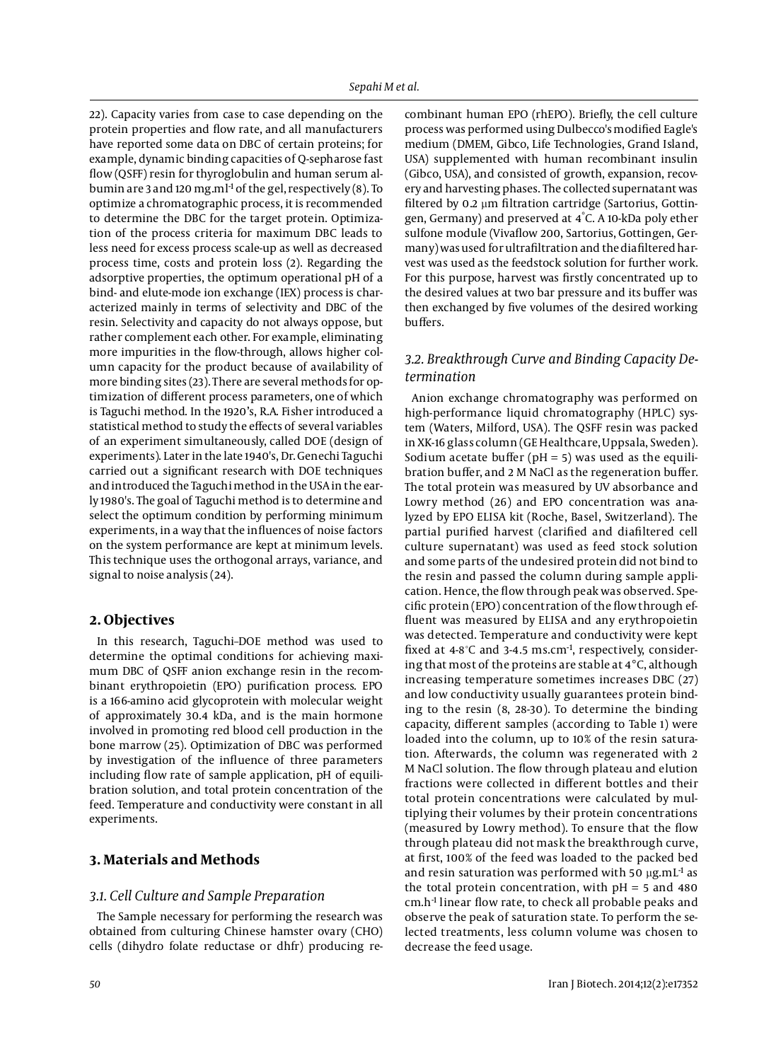22). Capacity varies from case to case depending on the protein properties and flow rate, and all manufacturers have reported some data on DBC of certain proteins; for example, dynamic binding capacities of Q-sepharose fast flow (QSFF) resin for thyroglobulin and human serum albumin are 3 and 120 mg.ml<sup>-1</sup> of the gel, respectively (8). To optimize a chromatographic process, it is recommended to determine the DBC for the target protein. Optimization of the process criteria for maximum DBC leads to less need for excess process scale-up as well as decreased process time, costs and protein loss (2). Regarding the adsorptive properties, the optimum operational pH of a bind- and elute-mode ion exchange (IEX) process is characterized mainly in terms of selectivity and DBC of the resin. Selectivity and capacity do not always oppose, but rather complement each other. For example, eliminating more impurities in the flow-through, allows higher column capacity for the product because of availability of more binding sites (23). There are several methods for optimization of different process parameters, one of which is Taguchi method. In the 1920's, R.A. Fisher introduced a statistical method to study the effects of several variables of an experiment simultaneously, called DOE (design of experiments). Later in the late 1940's, Dr. Genechi Taguchi carried out a significant research with DOE techniques and introduced the Taguchi method in the USA in the early 1980's. The goal of Taguchi method is to determine and select the optimum condition by performing minimum experiments, in a way that the influences of noise factors on the system performance are kept at minimum levels. This technique uses the orthogonal arrays, variance, and signal to noise analysis (24).

## **2. Objectives**

In this research, Taguchi–DOE method was used to determine the optimal conditions for achieving maximum DBC of QSFF anion exchange resin in the recombinant erythropoietin (EPO) purification process. EPO is a 166-amino acid glycoprotein with molecular weight of approximately 30.4 kDa, and is the main hormone involved in promoting red blood cell production in the bone marrow (25). Optimization of DBC was performed by investigation of the influence of three parameters including flow rate of sample application, pH of equilibration solution, and total protein concentration of the feed. Temperature and conductivity were constant in all experiments.

# **3. Materials and Methods**

#### *3.1. Cell Culture and Sample Preparation*

The Sample necessary for performing the research was obtained from culturing Chinese hamster ovary (CHO) cells (dihydro folate reductase or dhfr) producing re-

combinant human EPO (rhEPO). Briefly, the cell culture process was performed using Dulbecco's modified Eagle's medium (DMEM, Gibco, Life Technologies, Grand Island, USA) supplemented with human recombinant insulin (Gibco, USA), and consisted of growth, expansion, recovery and harvesting phases. The collected supernatant was filtered by 0.2 µm filtration cartridge (Sartorius, Gottingen, Germany) and preserved at 4° C. A 10-kDa poly ether sulfone module (Vivaflow 200, Sartorius, Gottingen, Germany) was used for ultrafiltration and the diafiltered harvest was used as the feedstock solution for further work. For this purpose, harvest was firstly concentrated up to the desired values at two bar pressure and its buffer was then exchanged by five volumes of the desired working buffers.

# *3.2. Breakthrough Curve and Binding Capacity Determination*

Anion exchange chromatography was performed on high-performance liquid chromatography (HPLC) system (Waters, Milford, USA). The QSFF resin was packed in XK-16 glass column (GE Healthcare, Uppsala, Sweden). Sodium acetate buffer ( $pH = 5$ ) was used as the equilibration buffer, and 2 M NaCl as the regeneration buffer. The total protein was measured by UV absorbance and Lowry method (26) and EPO concentration was analyzed by EPO ELISA kit (Roche, Basel, Switzerland). The partial purified harvest (clarified and diafiltered cell culture supernatant) was used as feed stock solution and some parts of the undesired protein did not bind to the resin and passed the column during sample application. Hence, the flow through peak was observed. Specific protein (EPO) concentration of the flow through effluent was measured by ELISA and any erythropoietin was detected. Temperature and conductivity were kept fixed at 4-8℃ and 3-4.5 ms.cm<sup>-1</sup>, respectively, considering that most of the proteins are stable at 4°C, although increasing temperature sometimes increases DBC (27) and low conductivity usually guarantees protein binding to the resin (8, 28-30). To determine the binding capacity, different samples (according to Table 1) were loaded into the column, up to 10% of the resin saturation. Afterwards, the column was regenerated with 2 M NaCl solution. The flow through plateau and elution fractions were collected in different bottles and their total protein concentrations were calculated by multiplying their volumes by their protein concentrations (measured by Lowry method). To ensure that the flow through plateau did not mask the breakthrough curve, at first, 100% of the feed was loaded to the packed bed and resin saturation was performed with 50  $\mu$ g.mL<sup>-1</sup> as the total protein concentration, with  $pH = 5$  and 480 cm.h-1 linear flow rate, to check all probable peaks and observe the peak of saturation state. To perform the selected treatments, less column volume was chosen to decrease the feed usage.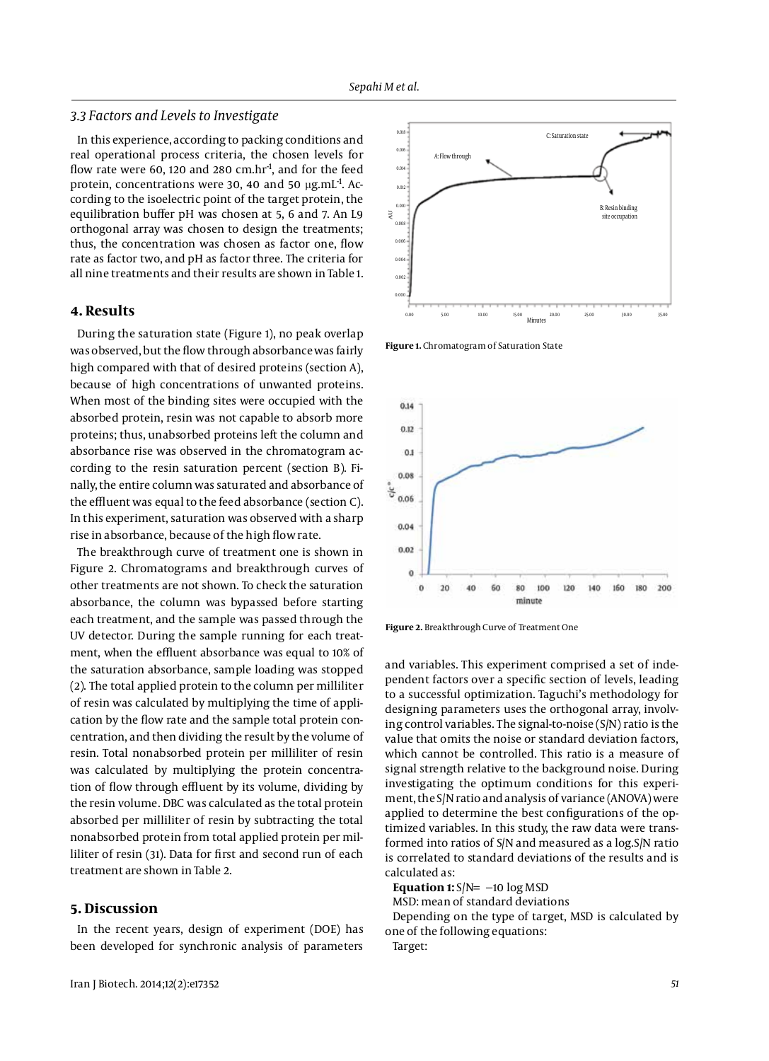#### *3.3 Factors and Levels to Investigate*

In this experience, according to packing conditions and real operational process criteria, the chosen levels for flow rate were 60, 120 and 280 cm.hr<sup>1</sup>, and for the feed protein, concentrations were 30, 40 and 50  $\mu$ g.mL<sup>-1</sup>. According to the isoelectric point of the target protein, the equilibration buffer pH was chosen at 5, 6 and 7. An L9 orthogonal array was chosen to design the treatments; thus, the concentration was chosen as factor one, flow rate as factor two, and pH as factor three. The criteria for all nine treatments and their results are shown in Table 1.

## **4. Results**

During the saturation state (Figure 1), no peak overlap was observed, but the flow through absorbance was fairly high compared with that of desired proteins (section A), because of high concentrations of unwanted proteins. When most of the binding sites were occupied with the absorbed protein, resin was not capable to absorb more proteins; thus, unabsorbed proteins left the column and absorbance rise was observed in the chromatogram according to the resin saturation percent (section B). Finally, the entire column was saturated and absorbance of the effluent was equal to the feed absorbance (section C). In this experiment, saturation was observed with a sharp rise in absorbance, because of the high flow rate.

The breakthrough curve of treatment one is shown in Figure 2. Chromatograms and breakthrough curves of other treatments are not shown. To check the saturation absorbance, the column was bypassed before starting each treatment, and the sample was passed through the UV detector. During the sample running for each treatment, when the effluent absorbance was equal to 10% of the saturation absorbance, sample loading was stopped (2). The total applied protein to the column per milliliter of resin was calculated by multiplying the time of application by the flow rate and the sample total protein concentration, and then dividing the result by the volume of resin. Total nonabsorbed protein per milliliter of resin was calculated by multiplying the protein concentration of flow through effluent by its volume, dividing by the resin volume. DBC was calculated as the total protein absorbed per milliliter of resin by subtracting the total nonabsorbed protein from total applied protein per milliliter of resin (31). Data for first and second run of each treatment are shown in Table 2.

## **5. Discussion**

In the recent years, design of experiment (DOE) has been developed for synchronic analysis of parameters



**Figure 1.** Chromatogram of Saturation State



**Figure 2.** Breakthrough Curve of Treatment One

and variables. This experiment comprised a set of independent factors over a specific section of levels, leading to a successful optimization. Taguchi's methodology for designing parameters uses the orthogonal array, involving control variables. The signal-to-noise (S/N) ratio is the value that omits the noise or standard deviation factors, which cannot be controlled. This ratio is a measure of signal strength relative to the background noise. During investigating the optimum conditions for this experiment, the S/N ratio and analysis of variance (ANOVA) were applied to determine the best configurations of the optimized variables. In this study, the raw data were transformed into ratios of S/N and measured as a log.S/N ratio is correlated to standard deviations of the results and is calculated as:

**Equation 1:** S/N=−10 log MSD

MSD: mean of standard deviations Depending on the type of target, MSD is calculated by

one of the following equations: Target: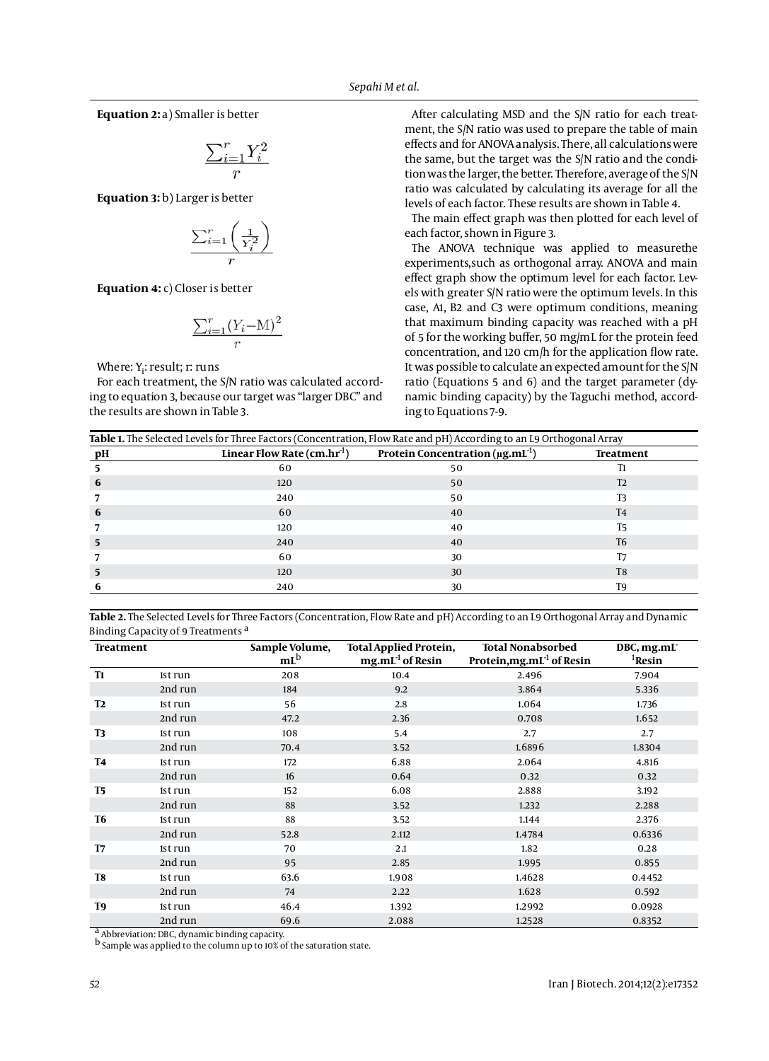**Equation 2:** a) Smaller is better

$$
\frac{\sum_{i=1}^{r} Y_i^2}{r}
$$

**Equation 3:** b) Larger is better

$$
\frac{\sum_{i=1}^r \left(\frac{1}{Y_i^2}\right)}{r}
$$

**Equation 4:** c) Closer is better

$$
\frac{\sum_{i=1}^{r} (Y_i - M)^2}{r}
$$

Where: Y<sub>i</sub>: result; r: runs

For each treatment, the S/N ratio was calculated according to equation 3, because our target was "larger DBC" and the results are shown in Table 3.

After calculating MSD and the S/N ratio for each treatment, the S/N ratio was used to prepare the table of main effects and for ANOVA analysis. There, all calculations were the same, but the target was the S/N ratio and the condition was the larger, the better. Therefore, average of the S/N ratio was calculated by calculating its average for all the levels of each factor. These results are shown in Table 4.

The main effect graph was then plotted for each level of each factor, shown in Figure 3.

The ANOVA technique was applied to measurethe experiments,such as orthogonal array. ANOVA and main effect graph show the optimum level for each factor. Levels with greater S/N ratio were the optimum levels. In this case, A1, B2 and C3 were optimum conditions, meaning that maximum binding capacity was reached with a pH of 5 for the working buffer, 50 mg/mL for the protein feed concentration, and 120 cm/h for the application flow rate. It was possible to calculate an expected amount for the S/N ratio (Equations 5 and 6) and the target parameter (dynamic binding capacity) by the Taguchi method, according to Equations 7-9.

| Table 1. The Selected Levels for Three Factors (Concentration, Flow Rate and pH) According to an L9 Orthogonal Array |     |                                                                                            |                |  |
|----------------------------------------------------------------------------------------------------------------------|-----|--------------------------------------------------------------------------------------------|----------------|--|
| pН                                                                                                                   |     | Linear Flow Rate (cm.hr <sup>-1</sup> ) Protein Concentration ( $\mu$ g.mL <sup>-1</sup> ) | Treatment      |  |
|                                                                                                                      | 60  | 50                                                                                         | T1             |  |
| 6                                                                                                                    | 120 | 50                                                                                         | T <sub>2</sub> |  |
|                                                                                                                      | 240 | 50                                                                                         | T3             |  |
| 6                                                                                                                    | 60  | 40                                                                                         | T <sub>4</sub> |  |
|                                                                                                                      | 120 | 40                                                                                         | T5             |  |
|                                                                                                                      | 240 | 40                                                                                         | T <sub>6</sub> |  |
|                                                                                                                      | 60  | 30                                                                                         | T7             |  |
|                                                                                                                      | 120 | 30                                                                                         | T8             |  |
|                                                                                                                      | 240 | 30                                                                                         | T9             |  |

**Table 2.** The Selected Levels for Three Factors (Concentration, Flow Rate and pH) According to an L9 Orthogonal Array and Dynamic Binding Capacity of 9 Treatments a

| <b>Treatment</b> |         | Sample Volume,<br>m <sup>b</sup> | <b>Total Applied Protein,</b><br>$mg.mL-1$ of Resin | <b>Total Nonabsorbed</b><br>Protein, mg.mL $^{-1}$ of Resin | DBC, mg.mL<br><sup>1</sup> Resin |
|------------------|---------|----------------------------------|-----------------------------------------------------|-------------------------------------------------------------|----------------------------------|
| <b>T1</b>        | 1st run | 208                              | 10.4                                                | 2.496                                                       | 7.904                            |
|                  | 2nd run | 184                              | 9.2                                                 | 3.864                                                       | 5.336                            |
| <b>T2</b>        | 1st run | 56                               | 2.8                                                 | 1.064                                                       | 1.736                            |
|                  | 2nd run | 47.2                             | 2.36                                                | 0.708                                                       | 1.652                            |
| T3               | 1st run | 108                              | 5.4                                                 | 2.7                                                         | 2.7                              |
|                  | 2nd run | 70.4                             | 3.52                                                | 1.6896                                                      | 1.8304                           |
| <b>T4</b>        | 1st run | 172                              | 6.88                                                | 2.064                                                       | 4.816                            |
|                  | 2nd run | 16                               | 0.64                                                | 0.32                                                        | 0.32                             |
| <b>T5</b>        | 1st run | 152                              | 6.08                                                | 2.888                                                       | 3.192                            |
|                  | 2nd run | 88                               | 3.52                                                | 1.232                                                       | 2.288                            |
| T6               | 1st run | 88                               | 3.52                                                | 1.144                                                       | 2.376                            |
|                  | 2nd run | 52.8                             | 2.112                                               | 1.4784                                                      | 0.6336                           |
| T7               | 1st run | 70                               | 2.1                                                 | 1.82                                                        | 0.28                             |
|                  | 2nd run | 95                               | 2.85                                                | 1.995                                                       | 0.855                            |
| T8               | 1st run | 63.6                             | 1.908                                               | 1.4628                                                      | 0.4452                           |
|                  | 2nd run | 74                               | 2.22                                                | 1.628                                                       | 0.592                            |
| T9               | 1st run | 46.4                             | 1.392                                               | 1.2992                                                      | 0.0928                           |
|                  | 2nd run | 69.6                             | 2.088                                               | 1.2528                                                      | 0.8352                           |

a Abbreviation: DBC, dynamic binding capacity.

b Sample was applied to the column up to 10% of the saturation state.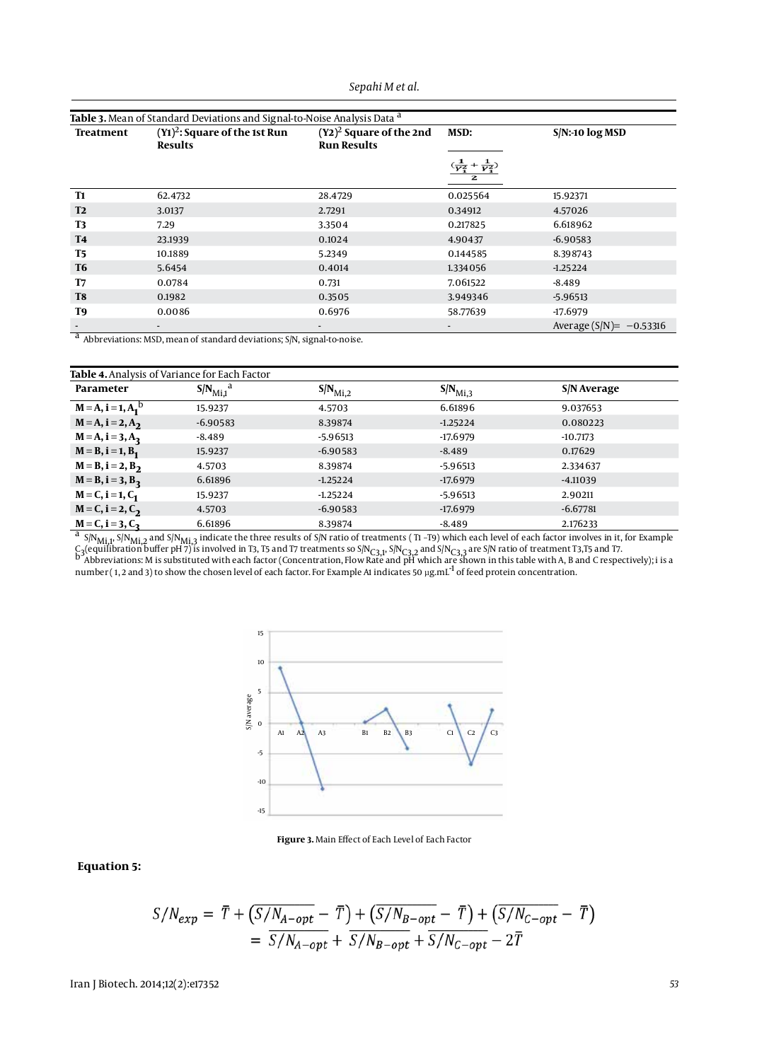| Sepahi M et al. |  |  |  |
|-----------------|--|--|--|
|-----------------|--|--|--|

| Table 3. Mean of Standard Deviations and Signal-to-Noise Analysis Data <sup>a</sup> |                                                   |                                                  |          |                            |
|-------------------------------------------------------------------------------------|---------------------------------------------------|--------------------------------------------------|----------|----------------------------|
| Treatment                                                                           | $(Y1)2$ : Square of the 1st Run<br><b>Results</b> | $(Y2)^2$ Square of the 2nd<br><b>Run Results</b> | MSD:     | $S/N$ :-10 $log MSD$       |
|                                                                                     |                                                   |                                                  |          |                            |
| <b>T1</b>                                                                           | 62.4732                                           | 28.4729                                          | 0.025564 | 15.92371                   |
| <b>T2</b>                                                                           | 3.0137                                            | 2.7291                                           | 0.34912  | 4.57026                    |
| <b>T3</b>                                                                           | 7.29                                              | 3.3504                                           | 0.217825 | 6.618962                   |
| <b>T4</b>                                                                           | 23.1939                                           | 0.1024                                           | 4.90437  | $-6.90583$                 |
| <b>T5</b>                                                                           | 10.1889                                           | 5.2349                                           | 0.144585 | 8.398743                   |
| <b>T6</b>                                                                           | 5.6454                                            | 0.4014                                           | 1.334056 | $-1.25224$                 |
| T7                                                                                  | 0.0784                                            | 0.731                                            | 7.061522 | $-8.489$                   |
| T <sub>8</sub>                                                                      | 0.1982                                            | 0.3505                                           | 3.949346 | $-5.96513$                 |
| T9                                                                                  | 0.0086                                            | 0.6976                                           | 58.77639 | $-17.6979$                 |
|                                                                                     |                                                   |                                                  |          | Average $(S/N) = -0.53316$ |

<sup>a</sup> Abbreviations: MSD, mean of standard deviations; S/N, signal-to-noise.

| Table 4. Analysis of Variance for Each Factor                                                                                                                                                             |                                |                     |                     |             |
|-----------------------------------------------------------------------------------------------------------------------------------------------------------------------------------------------------------|--------------------------------|---------------------|---------------------|-------------|
| Parameter                                                                                                                                                                                                 | $S/N_{\text{Mi},1}^{\text{a}}$ | $S/N_{\text{Mi},2}$ | $S/N_{\text{Mi},3}$ | S/N Average |
| $M = A$ , $i = 1, A_1^b$                                                                                                                                                                                  | 15.9237                        | 4.5703              | 6.61896             | 9.037653    |
| $M = A$ , i = 2, A <sub>2</sub>                                                                                                                                                                           | $-6.90583$                     | 8.39874             | $-1.25224$          | 0.080223    |
| $M = A$ , i = 3, $A_3$                                                                                                                                                                                    | $-8.489$                       | $-5.96513$          | $-17.6979$          | $-10.7173$  |
| $M = B$ , i = 1, $B_1$                                                                                                                                                                                    | 15.9237                        | $-6.90583$          | $-8.489$            | 0.17629     |
| $M = B$ , i = 2, $B_2$                                                                                                                                                                                    | 4.5703                         | 8.39874             | $-5.96513$          | 2.334637    |
| $M = B$ , $i = 3, B_3$                                                                                                                                                                                    | 6.61896                        | $-1.25224$          | $-17.6979$          | $-4.11039$  |
| $M = C$ , i = 1, $C_1$                                                                                                                                                                                    | 15.9237                        | $-1.25224$          | $-5.96513$          | 2.90211     |
| $M = C$ , i = 2, $C_2$                                                                                                                                                                                    | 4.5703                         | $-6.90583$          | $-17.6979$          | $-6.67781$  |
| $M = C$ , i = 3, $C_3$                                                                                                                                                                                    | 6.61896                        | 8.39874             | $-8.489$            | 2.176233    |
| $\frac{a}{N}$ S/N <sub>Mi,1</sub> , S/N <sub>Mi,2</sub> and S/N <sub>Mi,3</sub> indicate the three results of S/N ratio of treatments (T1-T9) which each level of each factor involves in it, for Example |                                |                     |                     |             |

C<sub>3</sub>(equilibration buffer pH 7) is involved in T3, T5 and T7 treatments so S/N<sub>C3,1</sub>, S/N<sub>C3,2</sub> and S/N<sub>C3,3</sub> are S/N ratio of treatment T3,T5 and T7.<br><sup>D</sup> Abbreviations: M is substituted with each factor (Concentration, Fl number (1, 2 and 3) to show the chosen level of each factor. For Example A1 indicates 50  $\mu$ g.mL<sup>-1</sup> of feed protein concentration.



**Figure 3.** Main Effect of Each Level of Each Factor

# **Equation 5:**

$$
S/N_{exp} = \overline{T} + (\overline{S/N_{A-opt}} - \overline{T}) + (\overline{S/N_{B-opt}} - \overline{T}) + (\overline{S/N_{C-opt}} - \overline{T})
$$
  
=  $\overline{S/N_{A-opt}} + \overline{S/N_{B-opt}} + \overline{S/N_{C-opt}} - 2\overline{T}$ 

Iran J Biotech. 2014;12(2):e17352 *53*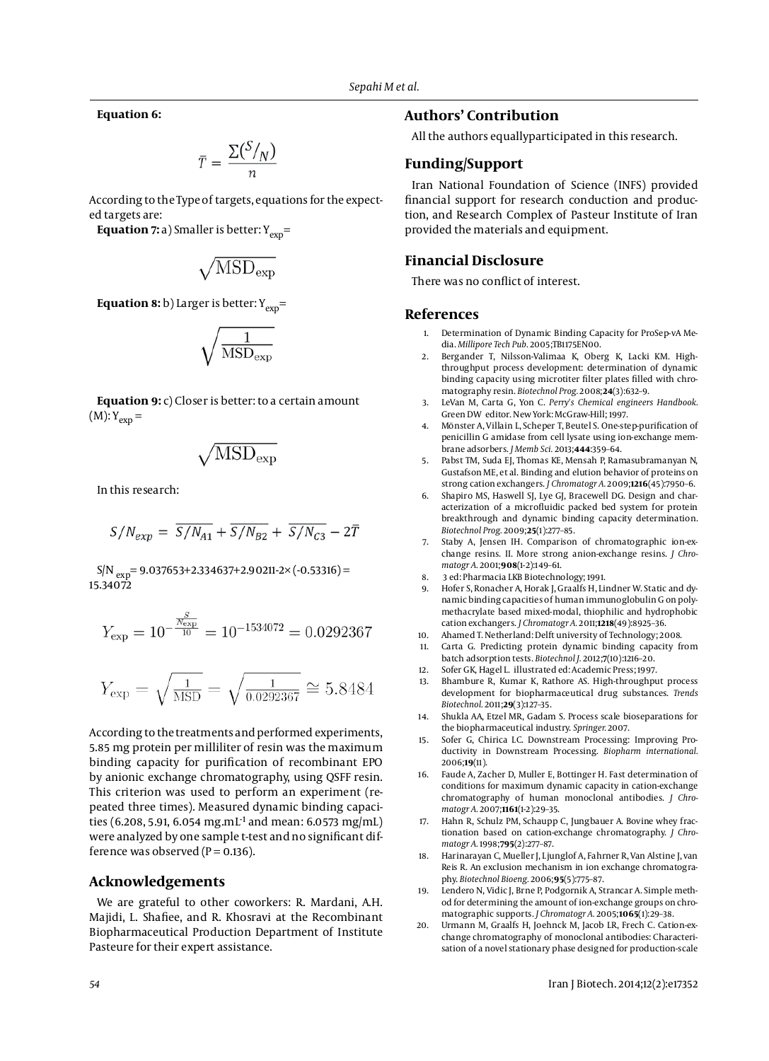**Equation 6:**

$$
\bar{T} = \frac{\Sigma(\frac{S}{N})}{n}
$$

According to the Type of targets, equations for the expected targets are:

**Equation 7:** a) Smaller is better:  $Y_{\text{exp}}=$ 

$$
\sqrt{\rm MSD_{\rm exp}}
$$

# **Equation 8:** b) Larger is better:  $Y_{exp}$ =

$$
\sqrt{\frac{1}{\rm MSD_{exp}}}
$$

**Equation 9:** c) Closer is better: to a certain amount  $(M): Y_{\rm exp} =$ 

$$
\sqrt{\rm MSD_{\rm exp}}
$$

In this research:

$$
S/N_{exp} = \overline{S/N_{A1}} + \overline{S/N_{B2}} + \overline{S/N_{C3}} - 2\overline{T}
$$

 $S/N$ <sub>exp</sub>= 9.037653+2.334637+2.90211-2× (-0.53316) = 15.34072

$$
Y_{\rm exp} = 10^{-\frac{N_{\rm exp}}{10}} = 10^{-1534072} = 0.0292367
$$

$$
Y_{\rm exp} = \sqrt{\frac{1}{\rm MSD}} = \sqrt{\frac{1}{0.0292367}} \cong 5.8484
$$

According to the treatments and performed experiments, 5.85 mg protein per milliliter of resin was the maximum binding capacity for purification of recombinant EPO by anionic exchange chromatography, using QSFF resin. This criterion was used to perform an experiment (repeated three times). Measured dynamic binding capacities (6.208, 5.91, 6.054 mg.mL<sup>-1</sup> and mean: 6.0573 mg/mL) were analyzed by one sample t-test and no significant difference was observed ( $P = 0.136$ ).

### **Acknowledgements**

We are grateful to other coworkers: R. Mardani, A.H. Majidi, L. Shafiee, and R. Khosravi at the Recombinant Biopharmaceutical Production Department of Institute Pasteure for their expert assistance.

### **Authors' Contribution**

All the authors equallyparticipated in this research.

# **Funding/Support**

Iran National Foundation of Science (INFS) provided financial support for research conduction and production, and Research Complex of Pasteur Institute of Iran provided the materials and equipment.

#### **Financial Disclosure**

There was no conflict of interest.

### **References**

- 1. Determination of Dynamic Binding Capacity for ProSep-vA Media. *Millipore Tech Pub.* 2005;TB1175EN00.
- 2. Bergander T, Nilsson-Valimaa K, Oberg K, Lacki KM. Highthroughput process development: determination of dynamic binding capacity using microtiter filter plates filled with chromatography resin. *Biotechnol Prog.* 2008;**24**(3):632–9.
- 3. LeVan M, Carta G, Yon C. *Perry's Chemical engineers Handbook.* Green DW editor. New York: McGraw-Hill; 1997.
- 4. Mönster A, Villain L, Scheper T, Beutel S. One-step-purification of penicillin G amidase from cell lysate using ion-exchange membrane adsorbers. *J Memb Sci.* 2013;**444**:359–64.
- 5. Pabst TM, Suda EJ, Thomas KE, Mensah P, Ramasubramanyan N, Gustafson ME, et al. Binding and elution behavior of proteins on strong cation exchangers. *J Chromatogr A.* 2009;**1216**(45):7950–6.
- 6. Shapiro MS, Haswell SJ, Lye GJ, Bracewell DG. Design and characterization of a microfluidic packed bed system for protein breakthrough and dynamic binding capacity determination. *Biotechnol Prog.* 2009;**25**(1):277–85.
- 7. Staby A, Jensen IH. Comparison of chromatographic ion-exchange resins. II. More strong anion-exchange resins. *J Chromatogr A.* 2001;**908**(1-2):149–61.
- 8. 3 ed: Pharmacia LKB Biotechnology; 1991.
- 9. Hofer S, Ronacher A, Horak J, Graalfs H, Lindner W. Static and dynamic binding capacities of human immunoglobulin G on polymethacrylate based mixed-modal, thiophilic and hydrophobic cation exchangers. *J Chromatogr A.* 2011;**1218**(49):8925–36.
- 10. Ahamed T. Netherland: Delft university of Technology; 2008.
- 11. Carta G. Predicting protein dynamic binding capacity from batch adsorption tests. *Biotechnol J.* 2012;**7**(10):1216–20.
- 12. Sofer GK, Hagel L. illustrated ed: Academic Press; 1997.
- 13. Bhambure R, Kumar K, Rathore AS. High-throughput process development for biopharmaceutical drug substances. *Trends Biotechnol.* 2011;**29**(3):127–35.
- 14. Shukla AA, Etzel MR, Gadam S. Process scale bioseparations for the biopharmaceutical industry. *Springer.* 2007.
- 15. Sofer G, Chirica LC. Downstream Processing: Improving Productivity in Downstream Processing. *Biopharm international.* 2006;**19**(11).
- Faude A, Zacher D, Muller E, Bottinger H. Fast determination of conditions for maximum dynamic capacity in cation-exchange chromatography of human monoclonal antibodies. *J Chromatogr A.* 2007;**1161**(1-2):29–35.
- 17. Hahn R, Schulz PM, Schaupp C, Jungbauer A. Bovine whey fractionation based on cation-exchange chromatography. *J Chromatogr A.* 1998;**795**(2):277–87.
- 18. Harinarayan C, Mueller J, Ljunglof A, Fahrner R, Van Alstine J, van Reis R. An exclusion mechanism in ion exchange chromatography. *Biotechnol Bioeng.* 2006;**95**(5):775–87.
- 19. Lendero N, Vidic J, Brne P, Podgornik A, Strancar A. Simple method for determining the amount of ion-exchange groups on chromatographic supports. *J Chromatogr A.* 2005;**1065**(1):29–38.
- 20. Urmann M, Graalfs H, Joehnck M, Jacob LR, Frech C. Cation-exchange chromatography of monoclonal antibodies: Characterisation of a novel stationary phase designed for production-scale